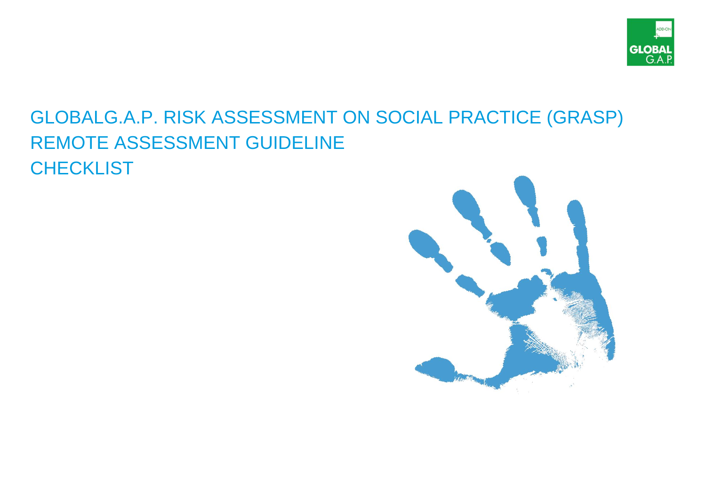

## GLOBALG.A.P. RISK ASSESSMENT ON SOCIAL PRACTICE (GRASP) REMOTE ASSESSMENT GUIDELINE **CHECKLIST**

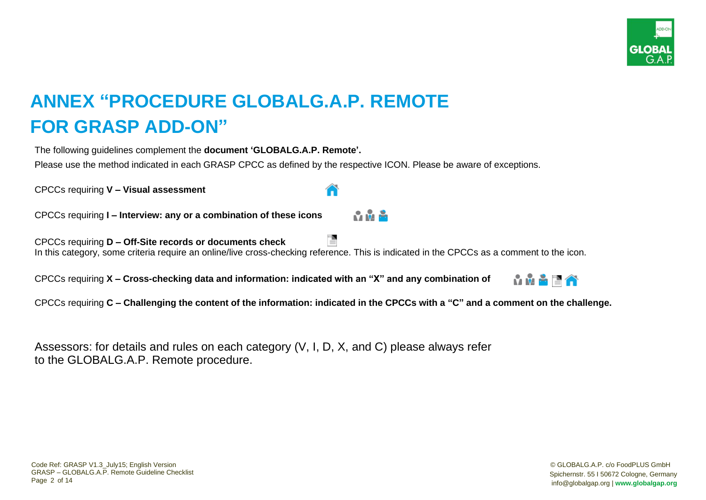

## **ANNEX "PROCEDURE GLOBALG.A.P. REMOTE FOR GRASP ADD-ON"**

The following guidelines complement the **document 'GLOBALG.A.P. Remote'.**

Please use the method indicated in each GRASP CPCC as defined by the respective ICON. Please be aware of exceptions.

CPCCs requiring **V – Visual assessment**

CPCCs requiring **I – Interview: any or a combination of these icons** 

CPCCs requiring **D – Off-Site records or documents check** In this category, some criteria require an online/live cross-checking reference. This is indicated in the CPCCs as a comment to the icon.

CPCCs requiring **X – Cross-checking data and information: indicated with an "X" and any combination of** 



CPCCs requiring **C – Challenging the content of the information: indicated in the CPCCs with a "C" and a comment on the challenge.**

**Contractor** 

Assessors: for details and rules on each category (V, I, D, X, and C) please always refer to the GLOBALG.A.P. Remote procedure.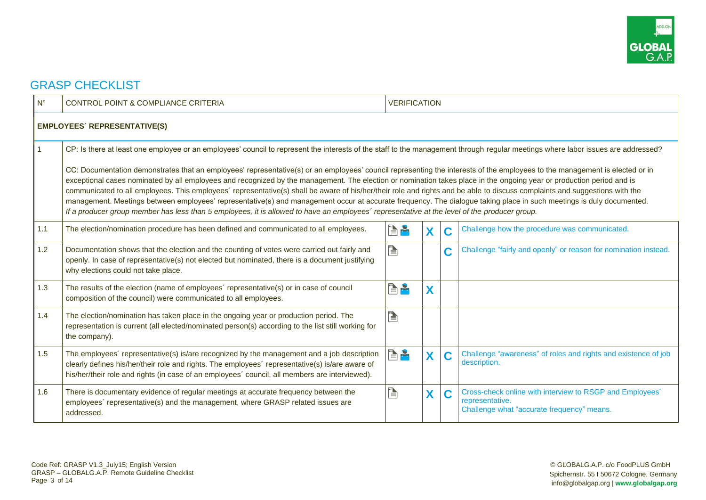

## GRASP CHECKLIST

| $N^{\circ}$ | <b>CONTROL POINT &amp; COMPLIANCE CRITERIA</b>                                                                                                                                                                                                                                                                                                                                                                                                                                                                                                                                                                                                                                                                                                                                                                                                              | <b>VERIFICATION</b> |   |   |                                                                                                                           |  |  |  |
|-------------|-------------------------------------------------------------------------------------------------------------------------------------------------------------------------------------------------------------------------------------------------------------------------------------------------------------------------------------------------------------------------------------------------------------------------------------------------------------------------------------------------------------------------------------------------------------------------------------------------------------------------------------------------------------------------------------------------------------------------------------------------------------------------------------------------------------------------------------------------------------|---------------------|---|---|---------------------------------------------------------------------------------------------------------------------------|--|--|--|
|             | <b>EMPLOYEES' REPRESENTATIVE(S)</b>                                                                                                                                                                                                                                                                                                                                                                                                                                                                                                                                                                                                                                                                                                                                                                                                                         |                     |   |   |                                                                                                                           |  |  |  |
|             | CP: Is there at least one employee or an employees' council to represent the interests of the staff to the management through regular meetings where labor issues are addressed?                                                                                                                                                                                                                                                                                                                                                                                                                                                                                                                                                                                                                                                                            |                     |   |   |                                                                                                                           |  |  |  |
|             | CC: Documentation demonstrates that an employees' representative(s) or an employees' council representing the interests of the employees to the management is elected or in<br>exceptional cases nominated by all employees and recognized by the management. The election or nomination takes place in the ongoing year or production period and is<br>communicated to all employees. This employees' representative(s) shall be aware of his/her/their role and rights and be able to discuss complaints and suggestions with the<br>management. Meetings between employees' representative(s) and management occur at accurate frequency. The dialogue taking place in such meetings is duly documented.<br>If a producer group member has less than 5 employees, it is allowed to have an employees' representative at the level of the producer group. |                     |   |   |                                                                                                                           |  |  |  |
| 1.1         | The election/nomination procedure has been defined and communicated to all employees.                                                                                                                                                                                                                                                                                                                                                                                                                                                                                                                                                                                                                                                                                                                                                                       | r e                 | X | C | Challenge how the procedure was communicated.                                                                             |  |  |  |
| 1.2         | Documentation shows that the election and the counting of votes were carried out fairly and<br>openly. In case of representative(s) not elected but nominated, there is a document justifying<br>why elections could not take place.                                                                                                                                                                                                                                                                                                                                                                                                                                                                                                                                                                                                                        | E                   |   | C | Challenge "fairly and openly" or reason for nomination instead.                                                           |  |  |  |
| 1.3         | The results of the election (name of employees' representative(s) or in case of council<br>composition of the council) were communicated to all employees.                                                                                                                                                                                                                                                                                                                                                                                                                                                                                                                                                                                                                                                                                                  | e a                 | X |   |                                                                                                                           |  |  |  |
| 1.4         | The election/nomination has taken place in the ongoing year or production period. The<br>representation is current (all elected/nominated person(s) according to the list still working for<br>the company).                                                                                                                                                                                                                                                                                                                                                                                                                                                                                                                                                                                                                                                | È                   |   |   |                                                                                                                           |  |  |  |
| 1.5         | The employees' representative(s) is/are recognized by the management and a job description<br>clearly defines his/her/their role and rights. The employees' representative(s) is/are aware of<br>his/her/their role and rights (in case of an employees' council, all members are interviewed).                                                                                                                                                                                                                                                                                                                                                                                                                                                                                                                                                             | e a                 | X | C | Challenge "awareness" of roles and rights and existence of job<br>description.                                            |  |  |  |
| 1.6         | There is documentary evidence of regular meetings at accurate frequency between the<br>employees' representative(s) and the management, where GRASP related issues are<br>addressed.                                                                                                                                                                                                                                                                                                                                                                                                                                                                                                                                                                                                                                                                        | P                   | X | C | Cross-check online with interview to RSGP and Employees'<br>representative.<br>Challenge what "accurate frequency" means. |  |  |  |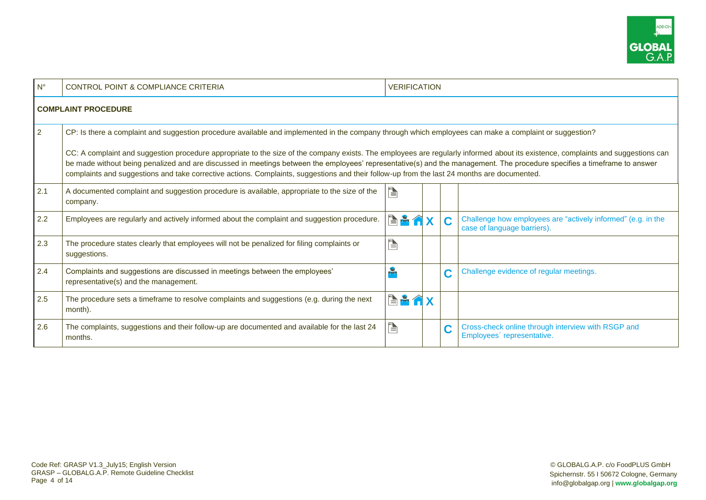

| $N^{\circ}$                | <b>CONTROL POINT &amp; COMPLIANCE CRITERIA</b>                                                                                                                                                                                                                                                                                                                                                                                                                                                              | <b>VERIFICATION</b> |  |   |                                                                                             |  |  |  |  |  |
|----------------------------|-------------------------------------------------------------------------------------------------------------------------------------------------------------------------------------------------------------------------------------------------------------------------------------------------------------------------------------------------------------------------------------------------------------------------------------------------------------------------------------------------------------|---------------------|--|---|---------------------------------------------------------------------------------------------|--|--|--|--|--|
| <b>COMPLAINT PROCEDURE</b> |                                                                                                                                                                                                                                                                                                                                                                                                                                                                                                             |                     |  |   |                                                                                             |  |  |  |  |  |
| $\overline{2}$             | CP: Is there a complaint and suggestion procedure available and implemented in the company through which employees can make a complaint or suggestion?                                                                                                                                                                                                                                                                                                                                                      |                     |  |   |                                                                                             |  |  |  |  |  |
|                            | CC: A complaint and suggestion procedure appropriate to the size of the company exists. The employees are regularly informed about its existence, complaints and suggestions can<br>be made without being penalized and are discussed in meetings between the employees' representative(s) and the management. The procedure specifies a timeframe to answer<br>complaints and suggestions and take corrective actions. Complaints, suggestions and their follow-up from the last 24 months are documented. |                     |  |   |                                                                                             |  |  |  |  |  |
| 2.1                        | A documented complaint and suggestion procedure is available, appropriate to the size of the<br>company.                                                                                                                                                                                                                                                                                                                                                                                                    | è                   |  |   |                                                                                             |  |  |  |  |  |
| 2.2                        | Employees are regularly and actively informed about the complaint and suggestion procedure.                                                                                                                                                                                                                                                                                                                                                                                                                 | <b>EA</b>           |  | C | Challenge how employees are "actively informed" (e.g. in the<br>case of language barriers). |  |  |  |  |  |
| 2.3                        | The procedure states clearly that employees will not be penalized for filing complaints or<br>suggestions.                                                                                                                                                                                                                                                                                                                                                                                                  | È                   |  |   |                                                                                             |  |  |  |  |  |
| 2.4                        | Complaints and suggestions are discussed in meetings between the employees'<br>representative(s) and the management.                                                                                                                                                                                                                                                                                                                                                                                        |                     |  | C | Challenge evidence of regular meetings.                                                     |  |  |  |  |  |
| 2.5                        | The procedure sets a timeframe to resolve complaints and suggestions (e.g. during the next<br>month).                                                                                                                                                                                                                                                                                                                                                                                                       | <b>EAAX</b>         |  |   |                                                                                             |  |  |  |  |  |
| 2.6                        | The complaints, suggestions and their follow-up are documented and available for the last 24<br>months.                                                                                                                                                                                                                                                                                                                                                                                                     | Þ                   |  | C | Cross-check online through interview with RSGP and<br>Employees' representative.            |  |  |  |  |  |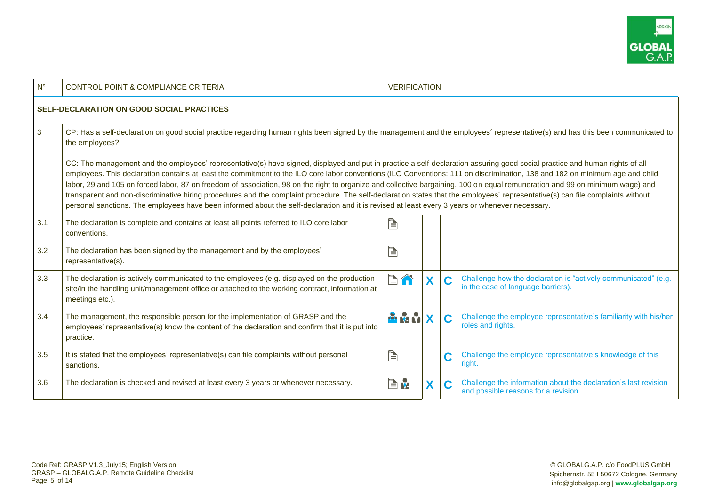

| $N^{\circ}$ | <b>CONTROL POINT &amp; COMPLIANCE CRITERIA</b>                                                                                                                                                                                                                                                                                                                                                                                                                                                                                                                                                                                                                                                                                                                                                                                                                                     | <b>VERIFICATION</b> |   |   |                                                                                                         |  |  |  |
|-------------|------------------------------------------------------------------------------------------------------------------------------------------------------------------------------------------------------------------------------------------------------------------------------------------------------------------------------------------------------------------------------------------------------------------------------------------------------------------------------------------------------------------------------------------------------------------------------------------------------------------------------------------------------------------------------------------------------------------------------------------------------------------------------------------------------------------------------------------------------------------------------------|---------------------|---|---|---------------------------------------------------------------------------------------------------------|--|--|--|
|             | <b>SELF-DECLARATION ON GOOD SOCIAL PRACTICES</b>                                                                                                                                                                                                                                                                                                                                                                                                                                                                                                                                                                                                                                                                                                                                                                                                                                   |                     |   |   |                                                                                                         |  |  |  |
| 3           | CP: Has a self-declaration on good social practice regarding human rights been signed by the management and the employees' representative(s) and has this been communicated to<br>the employees?                                                                                                                                                                                                                                                                                                                                                                                                                                                                                                                                                                                                                                                                                   |                     |   |   |                                                                                                         |  |  |  |
|             | CC: The management and the employees' representative(s) have signed, displayed and put in practice a self-declaration assuring good social practice and human rights of all<br>employees. This declaration contains at least the commitment to the ILO core labor conventions (ILO Conventions: 111 on discrimination, 138 and 182 on minimum age and child<br>labor, 29 and 105 on forced labor, 87 on freedom of association, 98 on the right to organize and collective bargaining, 100 on equal remuneration and 99 on minimum wage) and<br>transparent and non-discriminative hiring procedures and the complaint procedure. The self-declaration states that the employees' representative(s) can file complaints without<br>personal sanctions. The employees have been informed about the self-declaration and it is revised at least every 3 years or whenever necessary. |                     |   |   |                                                                                                         |  |  |  |
| 3.1         | The declaration is complete and contains at least all points referred to ILO core labor<br>conventions.                                                                                                                                                                                                                                                                                                                                                                                                                                                                                                                                                                                                                                                                                                                                                                            | È                   |   |   |                                                                                                         |  |  |  |
| 3.2         | The declaration has been signed by the management and by the employees'<br>representative(s).                                                                                                                                                                                                                                                                                                                                                                                                                                                                                                                                                                                                                                                                                                                                                                                      | È                   |   |   |                                                                                                         |  |  |  |
| 3.3         | The declaration is actively communicated to the employees (e.g. displayed on the production<br>site/in the handling unit/management office or attached to the working contract, information at<br>meetings etc.).                                                                                                                                                                                                                                                                                                                                                                                                                                                                                                                                                                                                                                                                  | b A                 | X | C | Challenge how the declaration is "actively communicated" (e.g.<br>in the case of language barriers).    |  |  |  |
| 3.4         | The management, the responsible person for the implementation of GRASP and the<br>employees' representative(s) know the content of the declaration and confirm that it is put into<br>practice.                                                                                                                                                                                                                                                                                                                                                                                                                                                                                                                                                                                                                                                                                    | <b>PINNX</b>        |   | C | Challenge the employee representative's familiarity with his/her<br>roles and rights.                   |  |  |  |
| 3.5         | It is stated that the employees' representative(s) can file complaints without personal<br>sanctions.                                                                                                                                                                                                                                                                                                                                                                                                                                                                                                                                                                                                                                                                                                                                                                              | è                   |   | C | Challenge the employee representative's knowledge of this<br>right.                                     |  |  |  |
| 3.6         | The declaration is checked and revised at least every 3 years or whenever necessary.                                                                                                                                                                                                                                                                                                                                                                                                                                                                                                                                                                                                                                                                                                                                                                                               | E v                 |   | C | Challenge the information about the declaration's last revision<br>and possible reasons for a revision. |  |  |  |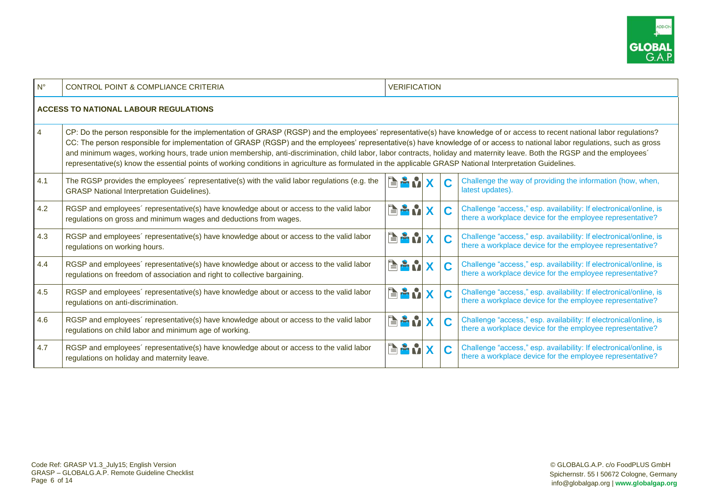

| $N^{\circ}$    | <b>CONTROL POINT &amp; COMPLIANCE CRITERIA</b>                                                                                                                                                                                                                                                                                                                                                                                                                                                                                                                                                                                                                                                         | <b>VERIFICATION</b> |   |                                                                                                                                |  |  |  |
|----------------|--------------------------------------------------------------------------------------------------------------------------------------------------------------------------------------------------------------------------------------------------------------------------------------------------------------------------------------------------------------------------------------------------------------------------------------------------------------------------------------------------------------------------------------------------------------------------------------------------------------------------------------------------------------------------------------------------------|---------------------|---|--------------------------------------------------------------------------------------------------------------------------------|--|--|--|
|                | <b>ACCESS TO NATIONAL LABOUR REGULATIONS</b>                                                                                                                                                                                                                                                                                                                                                                                                                                                                                                                                                                                                                                                           |                     |   |                                                                                                                                |  |  |  |
| $\overline{4}$ | CP: Do the person responsible for the implementation of GRASP (RGSP) and the employees' representative(s) have knowledge of or access to recent national labor regulations?<br>CC: The person responsible for implementation of GRASP (RGSP) and the employees' representative(s) have knowledge of or access to national labor regulations, such as gross<br>and minimum wages, working hours, trade union membership, anti-discrimination, child labor, labor contracts, holiday and maternity leave. Both the RGSP and the employees'<br>representative(s) know the essential points of working conditions in agriculture as formulated in the applicable GRASP National Interpretation Guidelines. |                     |   |                                                                                                                                |  |  |  |
| 4.1            | The RGSP provides the employees' representative(s) with the valid labor regulations (e.g. the<br><b>GRASP National Interpretation Guidelines).</b>                                                                                                                                                                                                                                                                                                                                                                                                                                                                                                                                                     | <b>EANX</b>         | C | Challenge the way of providing the information (how, when,<br>latest updates).                                                 |  |  |  |
| 4.2            | RGSP and employees' representative(s) have knowledge about or access to the valid labor<br>regulations on gross and minimum wages and deductions from wages.                                                                                                                                                                                                                                                                                                                                                                                                                                                                                                                                           | <b>BAM</b>          | C | Challenge "access," esp. availability: If electronical/online, is<br>there a workplace device for the employee representative? |  |  |  |
| 4.3            | RGSP and employees' representative(s) have knowledge about or access to the valid labor<br>regulations on working hours.                                                                                                                                                                                                                                                                                                                                                                                                                                                                                                                                                                               | <b>EANX</b>         | C | Challenge "access," esp. availability: If electronical/online, is<br>there a workplace device for the employee representative? |  |  |  |
| 4.4            | RGSP and employees' representative(s) have knowledge about or access to the valid labor<br>regulations on freedom of association and right to collective bargaining.                                                                                                                                                                                                                                                                                                                                                                                                                                                                                                                                   | <b>BANX</b>         | C | Challenge "access," esp. availability: If electronical/online, is<br>there a workplace device for the employee representative? |  |  |  |
| 4.5            | RGSP and employees' representative(s) have knowledge about or access to the valid labor<br>regulations on anti-discrimination.                                                                                                                                                                                                                                                                                                                                                                                                                                                                                                                                                                         | <b>RAMX</b>         | C | Challenge "access," esp. availability: If electronical/online, is<br>there a workplace device for the employee representative? |  |  |  |
| 4.6            | RGSP and employees' representative(s) have knowledge about or access to the valid labor<br>regulations on child labor and minimum age of working.                                                                                                                                                                                                                                                                                                                                                                                                                                                                                                                                                      | <b>EENX</b>         | C | Challenge "access," esp. availability: If electronical/online, is<br>there a workplace device for the employee representative? |  |  |  |
| 4.7            | RGSP and employees' representative(s) have knowledge about or access to the valid labor<br>regulations on holiday and maternity leave.                                                                                                                                                                                                                                                                                                                                                                                                                                                                                                                                                                 | <b>EAN</b>          | C | Challenge "access," esp. availability: If electronical/online, is<br>there a workplace device for the employee representative? |  |  |  |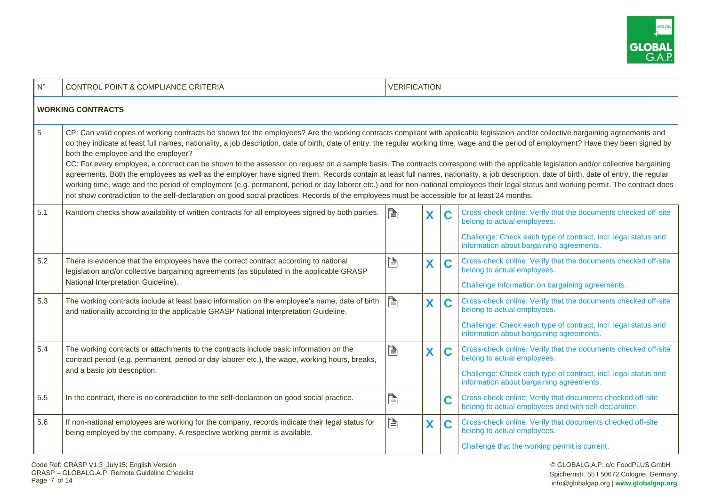

| $N^{\circ}$                                                                                                                                                                                                                                                                                                                                                                                                                                                                                                                                                                                                                                                                                                                                                                                                                                                                                                                                                                                                                                                                                                                                                       | <b>VERIFICATION</b><br><b>CONTROL POINT &amp; COMPLIANCE CRITERIA</b>                                                                                                                                                     |   |   |   |                                                                                                                     |  |  |  |
|-------------------------------------------------------------------------------------------------------------------------------------------------------------------------------------------------------------------------------------------------------------------------------------------------------------------------------------------------------------------------------------------------------------------------------------------------------------------------------------------------------------------------------------------------------------------------------------------------------------------------------------------------------------------------------------------------------------------------------------------------------------------------------------------------------------------------------------------------------------------------------------------------------------------------------------------------------------------------------------------------------------------------------------------------------------------------------------------------------------------------------------------------------------------|---------------------------------------------------------------------------------------------------------------------------------------------------------------------------------------------------------------------------|---|---|---|---------------------------------------------------------------------------------------------------------------------|--|--|--|
|                                                                                                                                                                                                                                                                                                                                                                                                                                                                                                                                                                                                                                                                                                                                                                                                                                                                                                                                                                                                                                                                                                                                                                   | <b>WORKING CONTRACTS</b>                                                                                                                                                                                                  |   |   |   |                                                                                                                     |  |  |  |
| $\overline{5}$<br>CP: Can valid copies of working contracts be shown for the employees? Are the working contracts compliant with applicable legislation and/or collective bargaining agreements and<br>do they indicate at least full names, nationality, a job description, date of birth, date of entry, the regular working time, wage and the period of employment? Have they been signed by<br>both the employee and the employer?<br>CC: For every employee, a contract can be shown to the assessor on request on a sample basis. The contracts correspond with the applicable legislation and/or collective bargaining<br>agreements. Both the employees as well as the employer have signed them. Records contain at least full names, nationality, a job description, date of birth, date of entry, the regular<br>working time, wage and the period of employment (e.g. permanent, period or day laborer etc.) and for non-national employees their legal status and working permit. The contract does<br>not show contradiction to the self-declaration on good social practices. Records of the employees must be accessible for at least 24 months. |                                                                                                                                                                                                                           |   |   |   |                                                                                                                     |  |  |  |
| 5.1                                                                                                                                                                                                                                                                                                                                                                                                                                                                                                                                                                                                                                                                                                                                                                                                                                                                                                                                                                                                                                                                                                                                                               | Random checks show availability of written contracts for all employees signed by both parties.                                                                                                                            | P | X | C | Cross-check online: Verify that the documents checked off-site<br>belong to actual employees.                       |  |  |  |
|                                                                                                                                                                                                                                                                                                                                                                                                                                                                                                                                                                                                                                                                                                                                                                                                                                                                                                                                                                                                                                                                                                                                                                   |                                                                                                                                                                                                                           |   |   |   | Challenge: Check each type of contract, incl. legal status and<br>information about bargaining agreements.          |  |  |  |
| 5.2                                                                                                                                                                                                                                                                                                                                                                                                                                                                                                                                                                                                                                                                                                                                                                                                                                                                                                                                                                                                                                                                                                                                                               | There is evidence that the employees have the correct contract according to national<br>legislation and/or collective bargaining agreements (as stipulated in the applicable GRASP<br>National Interpretation Guideline). | È | Χ | C | Cross-check online: Verify that the documents checked off-site<br>belong to actual employees.                       |  |  |  |
|                                                                                                                                                                                                                                                                                                                                                                                                                                                                                                                                                                                                                                                                                                                                                                                                                                                                                                                                                                                                                                                                                                                                                                   |                                                                                                                                                                                                                           |   |   |   | Challenge information on bargaining agreements.                                                                     |  |  |  |
| 5.3                                                                                                                                                                                                                                                                                                                                                                                                                                                                                                                                                                                                                                                                                                                                                                                                                                                                                                                                                                                                                                                                                                                                                               | The working contracts include at least basic information on the employee's name, date of birth<br>and nationality according to the applicable GRASP National Interpretation Guideline.                                    | E | X | C | Cross-check online: Verify that the documents checked off-site<br>belong to actual employees.                       |  |  |  |
|                                                                                                                                                                                                                                                                                                                                                                                                                                                                                                                                                                                                                                                                                                                                                                                                                                                                                                                                                                                                                                                                                                                                                                   |                                                                                                                                                                                                                           |   |   |   | Challenge: Check each type of contract, incl. legal status and<br>information about bargaining agreements.          |  |  |  |
| 5.4                                                                                                                                                                                                                                                                                                                                                                                                                                                                                                                                                                                                                                                                                                                                                                                                                                                                                                                                                                                                                                                                                                                                                               | The working contracts or attachments to the contracts include basic information on the<br>contract period (e.g. permanent, period or day laborer etc.), the wage, working hours, breaks,                                  | È | X | C | Cross-check online: Verify that the documents checked off-site<br>belong to actual employees.                       |  |  |  |
|                                                                                                                                                                                                                                                                                                                                                                                                                                                                                                                                                                                                                                                                                                                                                                                                                                                                                                                                                                                                                                                                                                                                                                   | and a basic job description.                                                                                                                                                                                              |   |   |   | Challenge: Check each type of contract, incl. legal status and<br>information about bargaining agreements.          |  |  |  |
| 5.5                                                                                                                                                                                                                                                                                                                                                                                                                                                                                                                                                                                                                                                                                                                                                                                                                                                                                                                                                                                                                                                                                                                                                               | In the contract, there is no contradiction to the self-declaration on good social practice.                                                                                                                               | È |   | C | Cross-check online: Verify that documents checked off-site<br>belong to actual employees and with self-declaration. |  |  |  |
| 5.6                                                                                                                                                                                                                                                                                                                                                                                                                                                                                                                                                                                                                                                                                                                                                                                                                                                                                                                                                                                                                                                                                                                                                               | If non-national employees are working for the company, records indicate their legal status for<br>being employed by the company. A respective working permit is available.                                                | È | X | C | Cross-check online: Verify that documents checked off-site<br>belong to actual employees.                           |  |  |  |
|                                                                                                                                                                                                                                                                                                                                                                                                                                                                                                                                                                                                                                                                                                                                                                                                                                                                                                                                                                                                                                                                                                                                                                   |                                                                                                                                                                                                                           |   |   |   | Challenge that the working permit is current.                                                                       |  |  |  |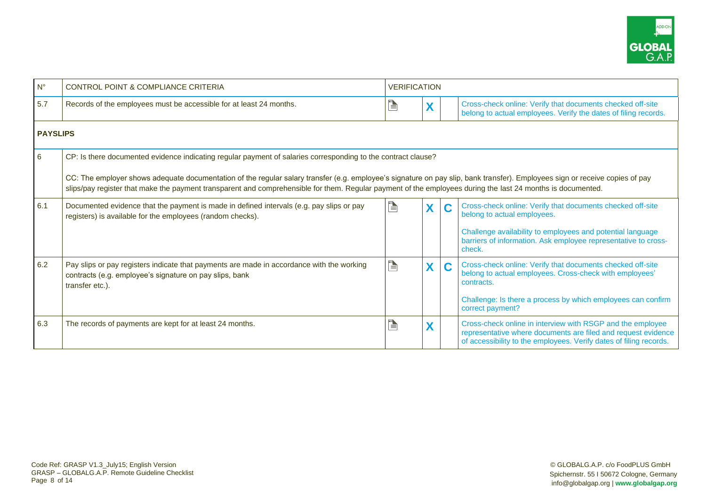

| $N^{\circ}$     | <b>CONTROL POINT &amp; COMPLIANCE CRITERIA</b>                                                                                                                                                                                                                                                                                              | <b>VERIFICATION</b> |   |                                                                                                                                                                                                   |  |  |
|-----------------|---------------------------------------------------------------------------------------------------------------------------------------------------------------------------------------------------------------------------------------------------------------------------------------------------------------------------------------------|---------------------|---|---------------------------------------------------------------------------------------------------------------------------------------------------------------------------------------------------|--|--|
| 5.7             | Records of the employees must be accessible for at least 24 months.                                                                                                                                                                                                                                                                         | È                   | X | Cross-check online: Verify that documents checked off-site<br>belong to actual employees. Verify the dates of filing records.                                                                     |  |  |
| <b>PAYSLIPS</b> |                                                                                                                                                                                                                                                                                                                                             |                     |   |                                                                                                                                                                                                   |  |  |
| 6               | CP: Is there documented evidence indicating regular payment of salaries corresponding to the contract clause?                                                                                                                                                                                                                               |                     |   |                                                                                                                                                                                                   |  |  |
|                 | CC: The employer shows adequate documentation of the regular salary transfer (e.g. employee's signature on pay slip, bank transfer). Employees sign or receive copies of pay<br>slips/pay register that make the payment transparent and comprehensible for them. Regular payment of the employees during the last 24 months is documented. |                     |   |                                                                                                                                                                                                   |  |  |
| 6.1             | Documented evidence that the payment is made in defined intervals (e.g. pay slips or pay<br>registers) is available for the employees (random checks).                                                                                                                                                                                      | È                   | X | Cross-check online: Verify that documents checked off-site<br>belong to actual employees.                                                                                                         |  |  |
|                 |                                                                                                                                                                                                                                                                                                                                             |                     |   | Challenge availability to employees and potential language<br>barriers of information. Ask employee representative to cross-<br>check.                                                            |  |  |
| 6.2             | Pay slips or pay registers indicate that payments are made in accordance with the working<br>contracts (e.g. employee's signature on pay slips, bank<br>transfer etc.).                                                                                                                                                                     | È                   | X | Cross-check online: Verify that documents checked off-site<br>C<br>belong to actual employees. Cross-check with employees'<br>contracts.                                                          |  |  |
|                 |                                                                                                                                                                                                                                                                                                                                             |                     |   | Challenge: Is there a process by which employees can confirm<br>correct payment?                                                                                                                  |  |  |
| 6.3             | The records of payments are kept for at least 24 months.                                                                                                                                                                                                                                                                                    | È                   | X | Cross-check online in interview with RSGP and the employee<br>representative where documents are filed and request evidence<br>of accessibility to the employees. Verify dates of filing records. |  |  |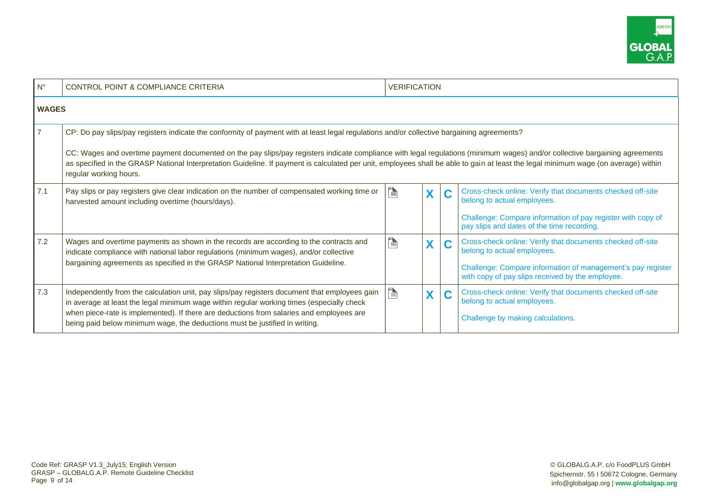

| $N^{\circ}$    | <b>CONTROL POINT &amp; COMPLIANCE CRITERIA</b>                                                                                                                                                                                                                                                                                                                                                                                                                                                                                             | <b>VERIFICATION</b> |   |   |                                                                                                                                                                                                              |  |  |
|----------------|--------------------------------------------------------------------------------------------------------------------------------------------------------------------------------------------------------------------------------------------------------------------------------------------------------------------------------------------------------------------------------------------------------------------------------------------------------------------------------------------------------------------------------------------|---------------------|---|---|--------------------------------------------------------------------------------------------------------------------------------------------------------------------------------------------------------------|--|--|
| <b>WAGES</b>   |                                                                                                                                                                                                                                                                                                                                                                                                                                                                                                                                            |                     |   |   |                                                                                                                                                                                                              |  |  |
| $\overline{7}$ | CP: Do pay slips/pay registers indicate the conformity of payment with at least legal regulations and/or collective bargaining agreements?<br>CC: Wages and overtime payment documented on the pay slips/pay registers indicate compliance with legal regulations (minimum wages) and/or collective bargaining agreements<br>as specified in the GRASP National Interpretation Guideline. If payment is calculated per unit, employees shall be able to gain at least the legal minimum wage (on average) within<br>regular working hours. |                     |   |   |                                                                                                                                                                                                              |  |  |
| 7.1            | Pay slips or pay registers give clear indication on the number of compensated working time or<br>harvested amount including overtime (hours/days).                                                                                                                                                                                                                                                                                                                                                                                         | $\blacksquare$      | X | C | Cross-check online: Verify that documents checked off-site<br>belong to actual employees.<br>Challenge: Compare information of pay register with copy of<br>pay slips and dates of the time recording.       |  |  |
| 7.2            | Wages and overtime payments as shown in the records are according to the contracts and<br>indicate compliance with national labor regulations (minimum wages), and/or collective<br>bargaining agreements as specified in the GRASP National Interpretation Guideline.                                                                                                                                                                                                                                                                     | è                   | X | C | Cross-check online: Verify that documents checked off-site<br>belong to actual employees.<br>Challenge: Compare information of management's pay register<br>with copy of pay slips received by the employee. |  |  |
| 7.3            | Independently from the calculation unit, pay slips/pay registers document that employees gain<br>in average at least the legal minimum wage within regular working times (especially check<br>when piece-rate is implemented). If there are deductions from salaries and employees are<br>being paid below minimum wage, the deductions must be justified in writing.                                                                                                                                                                      | Þ                   | X | C | Cross-check online: Verify that documents checked off-site<br>belong to actual employees.<br>Challenge by making calculations.                                                                               |  |  |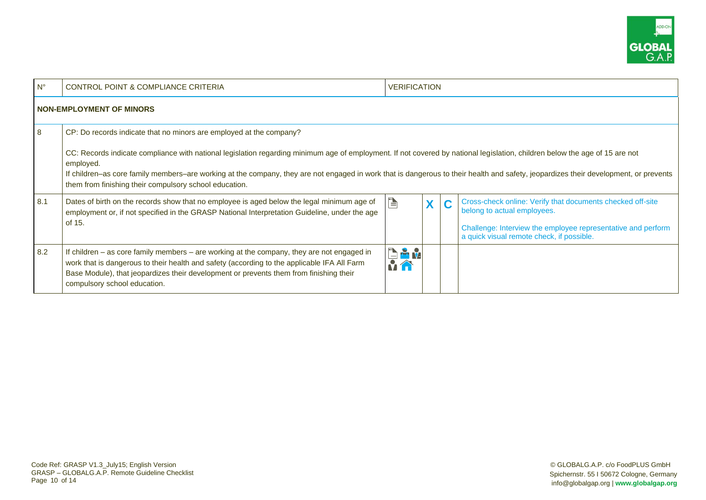

| $N^{\circ}$ | <b>CONTROL POINT &amp; COMPLIANCE CRITERIA</b>                                                                                                                                                                                                                                                                                                                                                                                                                                                                    | <b>VERIFICATION</b> |   |   |                                                                                                                                                                                                        |  |  |  |
|-------------|-------------------------------------------------------------------------------------------------------------------------------------------------------------------------------------------------------------------------------------------------------------------------------------------------------------------------------------------------------------------------------------------------------------------------------------------------------------------------------------------------------------------|---------------------|---|---|--------------------------------------------------------------------------------------------------------------------------------------------------------------------------------------------------------|--|--|--|
|             | <b>NON-EMPLOYMENT OF MINORS</b>                                                                                                                                                                                                                                                                                                                                                                                                                                                                                   |                     |   |   |                                                                                                                                                                                                        |  |  |  |
| -8          | CP: Do records indicate that no minors are employed at the company?<br>CC: Records indicate compliance with national legislation regarding minimum age of employment. If not covered by national legislation, children below the age of 15 are not<br>employed.<br>If children-as core family members-are working at the company, they are not engaged in work that is dangerous to their health and safety, jeopardizes their development, or prevents<br>them from finishing their compulsory school education. |                     |   |   |                                                                                                                                                                                                        |  |  |  |
| 8.1         | Dates of birth on the records show that no employee is aged below the legal minimum age of<br>employment or, if not specified in the GRASP National Interpretation Guideline, under the age<br>of 15.                                                                                                                                                                                                                                                                                                             | Þ                   | X | C | Cross-check online: Verify that documents checked off-site<br>belong to actual employees.<br>Challenge: Interview the employee representative and perform<br>a quick visual remote check, if possible. |  |  |  |
| 8.2         | If children - as core family members - are working at the company, they are not engaged in<br>work that is dangerous to their health and safety (according to the applicable IFA All Farm<br>Base Module), that jeopardizes their development or prevents them from finishing their<br>compulsory school education.                                                                                                                                                                                               | <b>BAM</b><br>MÂ    |   |   |                                                                                                                                                                                                        |  |  |  |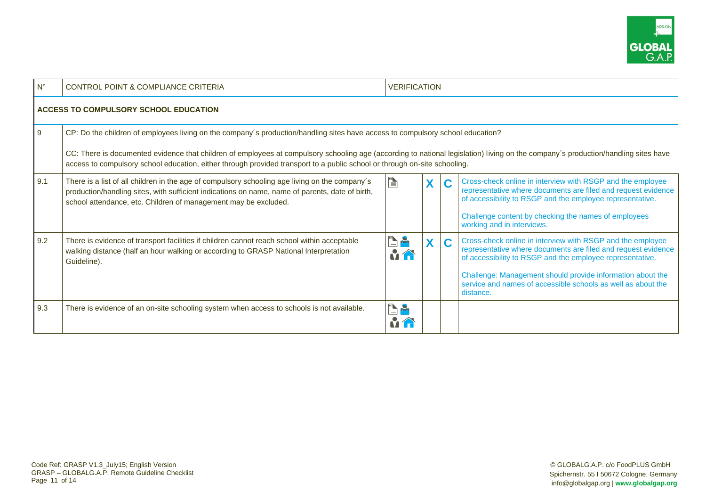

| $N^{\circ}$ | <b>CONTROL POINT &amp; COMPLIANCE CRITERIA</b><br><b>VERIFICATION</b>                                                                                                                                                                                                                                                                                                                                                                             |                     |          |   |                                                                                                                                                                                                                                                                                                                                     |  |  |  |  |
|-------------|---------------------------------------------------------------------------------------------------------------------------------------------------------------------------------------------------------------------------------------------------------------------------------------------------------------------------------------------------------------------------------------------------------------------------------------------------|---------------------|----------|---|-------------------------------------------------------------------------------------------------------------------------------------------------------------------------------------------------------------------------------------------------------------------------------------------------------------------------------------|--|--|--|--|
|             | ACCESS TO COMPULSORY SCHOOL EDUCATION                                                                                                                                                                                                                                                                                                                                                                                                             |                     |          |   |                                                                                                                                                                                                                                                                                                                                     |  |  |  |  |
| 9           | CP: Do the children of employees living on the company's production/handling sites have access to compulsory school education?<br>CC: There is documented evidence that children of employees at compulsory schooling age (according to national legislation) living on the company's production/handling sites have<br>access to compulsory school education, either through provided transport to a public school or through on-site schooling. |                     |          |   |                                                                                                                                                                                                                                                                                                                                     |  |  |  |  |
| 9.1         | There is a list of all children in the age of compulsory schooling age living on the company's<br>production/handling sites, with sufficient indications on name, name of parents, date of birth,<br>school attendance, etc. Children of management may be excluded.                                                                                                                                                                              | P                   |          |   | Cross-check online in interview with RSGP and the employee<br>representative where documents are filed and request evidence<br>of accessibility to RSGP and the employee representative.<br>Challenge content by checking the names of employees<br>working and in interviews.                                                      |  |  |  |  |
| 9.2         | There is evidence of transport facilities if children cannot reach school within acceptable<br>walking distance (half an hour walking or according to GRASP National Interpretation<br>Guideline).                                                                                                                                                                                                                                                | <b>Person</b><br>MÂ | <b>X</b> | C | Cross-check online in interview with RSGP and the employee<br>representative where documents are filed and request evidence<br>of accessibility to RSGP and the employee representative.<br>Challenge: Management should provide information about the<br>service and names of accessible schools as well as about the<br>distance. |  |  |  |  |
| 9.3         | There is evidence of an on-site schooling system when access to schools is not available.                                                                                                                                                                                                                                                                                                                                                         | d.                  |          |   |                                                                                                                                                                                                                                                                                                                                     |  |  |  |  |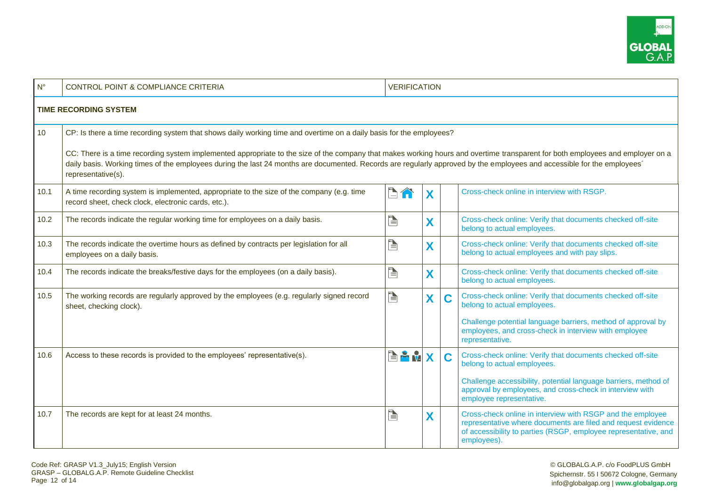

| $N^{\circ}$                                                                                                                                                                                                                                                                                                                                                                                                                                                                                                  | <b>CONTROL POINT &amp; COMPLIANCE CRITERIA</b>                                                                                                   | <b>VERIFICATION</b>    |   |   |                                                                                                                                                                                                                                                      |  |  |  |  |
|--------------------------------------------------------------------------------------------------------------------------------------------------------------------------------------------------------------------------------------------------------------------------------------------------------------------------------------------------------------------------------------------------------------------------------------------------------------------------------------------------------------|--------------------------------------------------------------------------------------------------------------------------------------------------|------------------------|---|---|------------------------------------------------------------------------------------------------------------------------------------------------------------------------------------------------------------------------------------------------------|--|--|--|--|
|                                                                                                                                                                                                                                                                                                                                                                                                                                                                                                              | <b>TIME RECORDING SYSTEM</b>                                                                                                                     |                        |   |   |                                                                                                                                                                                                                                                      |  |  |  |  |
| 10<br>CP: Is there a time recording system that shows daily working time and overtime on a daily basis for the employees?<br>CC: There is a time recording system implemented appropriate to the size of the company that makes working hours and overtime transparent for both employees and employer on a<br>daily basis. Working times of the employees during the last 24 months are documented. Records are regularly approved by the employees and accessible for the employees'<br>representative(s). |                                                                                                                                                  |                        |   |   |                                                                                                                                                                                                                                                      |  |  |  |  |
| 10.1                                                                                                                                                                                                                                                                                                                                                                                                                                                                                                         | A time recording system is implemented, appropriate to the size of the company (e.g. time<br>record sheet, check clock, electronic cards, etc.). | È<br>$\curvearrowleft$ | X |   | Cross-check online in interview with RSGP.                                                                                                                                                                                                           |  |  |  |  |
| 10.2                                                                                                                                                                                                                                                                                                                                                                                                                                                                                                         | The records indicate the regular working time for employees on a daily basis.                                                                    | È                      | X |   | Cross-check online: Verify that documents checked off-site<br>belong to actual employees.                                                                                                                                                            |  |  |  |  |
| 10.3                                                                                                                                                                                                                                                                                                                                                                                                                                                                                                         | The records indicate the overtime hours as defined by contracts per legislation for all<br>employees on a daily basis.                           | È                      | X |   | Cross-check online: Verify that documents checked off-site<br>belong to actual employees and with pay slips.                                                                                                                                         |  |  |  |  |
| 10.4                                                                                                                                                                                                                                                                                                                                                                                                                                                                                                         | The records indicate the breaks/festive days for the employees (on a daily basis).                                                               | è                      | X |   | Cross-check online: Verify that documents checked off-site<br>belong to actual employees.                                                                                                                                                            |  |  |  |  |
| 10.5                                                                                                                                                                                                                                                                                                                                                                                                                                                                                                         | The working records are regularly approved by the employees (e.g. regularly signed record<br>sheet, checking clock).                             | È                      | X | C | Cross-check online: Verify that documents checked off-site<br>belong to actual employees.<br>Challenge potential language barriers, method of approval by<br>employees, and cross-check in interview with employee<br>representative.                |  |  |  |  |
| 10.6                                                                                                                                                                                                                                                                                                                                                                                                                                                                                                         | Access to these records is provided to the employees' representative(s).                                                                         | <b>EA</b>              | X | C | Cross-check online: Verify that documents checked off-site<br>belong to actual employees.<br>Challenge accessibility, potential language barriers, method of<br>approval by employees, and cross-check in interview with<br>employee representative. |  |  |  |  |
| 10.7                                                                                                                                                                                                                                                                                                                                                                                                                                                                                                         | The records are kept for at least 24 months.                                                                                                     | È                      | X |   | Cross-check online in interview with RSGP and the employee<br>representative where documents are filed and request evidence<br>of accessibility to parties (RSGP, employee representative, and<br>employees).                                        |  |  |  |  |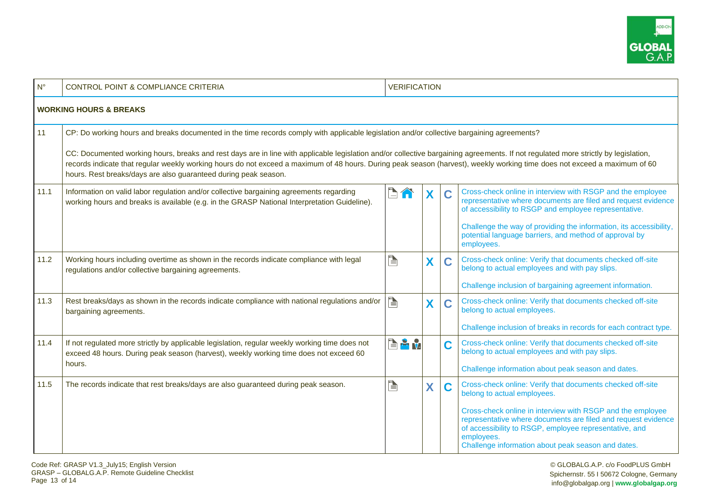

| $N^{\circ}$ | <b>CONTROL POINT &amp; COMPLIANCE CRITERIA</b>                                                                                                                                                                                                                                                                                                                                                                                                                                                                                                                                   | <b>VERIFICATION</b> |   |   |                                                                                                                                                                                                                                                                                                                                                        |  |  |  |  |
|-------------|----------------------------------------------------------------------------------------------------------------------------------------------------------------------------------------------------------------------------------------------------------------------------------------------------------------------------------------------------------------------------------------------------------------------------------------------------------------------------------------------------------------------------------------------------------------------------------|---------------------|---|---|--------------------------------------------------------------------------------------------------------------------------------------------------------------------------------------------------------------------------------------------------------------------------------------------------------------------------------------------------------|--|--|--|--|
|             | <b>WORKING HOURS &amp; BREAKS</b>                                                                                                                                                                                                                                                                                                                                                                                                                                                                                                                                                |                     |   |   |                                                                                                                                                                                                                                                                                                                                                        |  |  |  |  |
| 11          | CP: Do working hours and breaks documented in the time records comply with applicable legislation and/or collective bargaining agreements?<br>CC: Documented working hours, breaks and rest days are in line with applicable legislation and/or collective bargaining agreements. If not regulated more strictly by legislation,<br>records indicate that regular weekly working hours do not exceed a maximum of 48 hours. During peak season (harvest), weekly working time does not exceed a maximum of 60<br>hours. Rest breaks/days are also guaranteed during peak season. |                     |   |   |                                                                                                                                                                                                                                                                                                                                                        |  |  |  |  |
| 11.1        | Information on valid labor regulation and/or collective bargaining agreements regarding<br>working hours and breaks is available (e.g. in the GRASP National Interpretation Guideline).                                                                                                                                                                                                                                                                                                                                                                                          | $\Box$<br>ſĤ        | X | C | Cross-check online in interview with RSGP and the employee<br>representative where documents are filed and request evidence<br>of accessibility to RSGP and employee representative.<br>Challenge the way of providing the information, its accessibility,<br>potential language barriers, and method of approval by<br>employees.                     |  |  |  |  |
| 11.2        | Working hours including overtime as shown in the records indicate compliance with legal<br>regulations and/or collective bargaining agreements.                                                                                                                                                                                                                                                                                                                                                                                                                                  | E                   | X | C | Cross-check online: Verify that documents checked off-site<br>belong to actual employees and with pay slips.<br>Challenge inclusion of bargaining agreement information.                                                                                                                                                                               |  |  |  |  |
| 11.3        | Rest breaks/days as shown in the records indicate compliance with national regulations and/or<br>bargaining agreements.                                                                                                                                                                                                                                                                                                                                                                                                                                                          | è                   | X | C | Cross-check online: Verify that documents checked off-site<br>belong to actual employees.<br>Challenge inclusion of breaks in records for each contract type.                                                                                                                                                                                          |  |  |  |  |
| 11.4        | If not regulated more strictly by applicable legislation, regular weekly working time does not<br>exceed 48 hours. During peak season (harvest), weekly working time does not exceed 60<br>hours.                                                                                                                                                                                                                                                                                                                                                                                | EP V                |   | C | Cross-check online: Verify that documents checked off-site<br>belong to actual employees and with pay slips.<br>Challenge information about peak season and dates.                                                                                                                                                                                     |  |  |  |  |
| 11.5        | The records indicate that rest breaks/days are also guaranteed during peak season.                                                                                                                                                                                                                                                                                                                                                                                                                                                                                               |                     | X | C | Cross-check online: Verify that documents checked off-site<br>belong to actual employees.<br>Cross-check online in interview with RSGP and the employee<br>representative where documents are filed and request evidence<br>of accessibility to RSGP, employee representative, and<br>employees.<br>Challenge information about peak season and dates. |  |  |  |  |